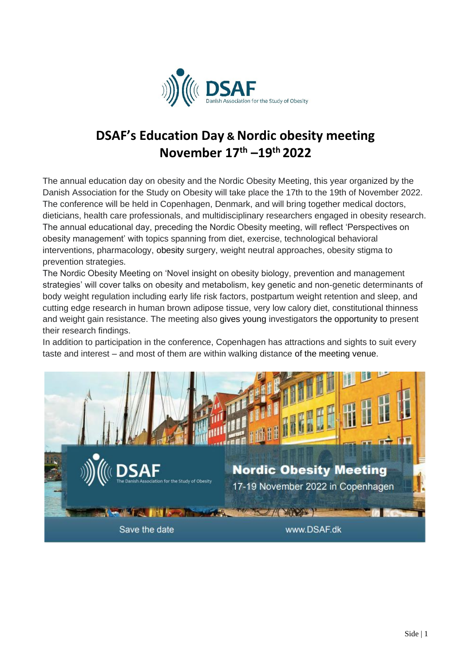

# **DSAF's Education Day & Nordic obesity meeting November 17th –19th 2022**

The annual education day on obesity and the Nordic Obesity Meeting, this year organized by the Danish Association for the Study on Obesity will take place the 17th to the 19th of November 2022. The conference will be held in Copenhagen, Denmark, and will bring together medical doctors, dieticians, health care professionals, and multidisciplinary researchers engaged in obesity research. The annual educational day, preceding the Nordic Obesity meeting, will reflect 'Perspectives on obesity management' with topics spanning from diet, exercise, technological behavioral interventions, pharmacology, obesity surgery, weight neutral approaches, obesity stigma to prevention strategies.

The Nordic Obesity Meeting on 'Novel insight on obesity biology, prevention and management strategies' will cover talks on obesity and metabolism, key genetic and non-genetic determinants of body weight regulation including early life risk factors, postpartum weight retention and sleep, and cutting edge research in human brown adipose tissue, very low calory diet, constitutional thinness and weight gain resistance. The meeting also gives young investigators the opportunity to present their research findings.

In addition to participation in the conference, Copenhagen has attractions and sights to suit every taste and interest – and most of them are within walking distance of the meeting venue.

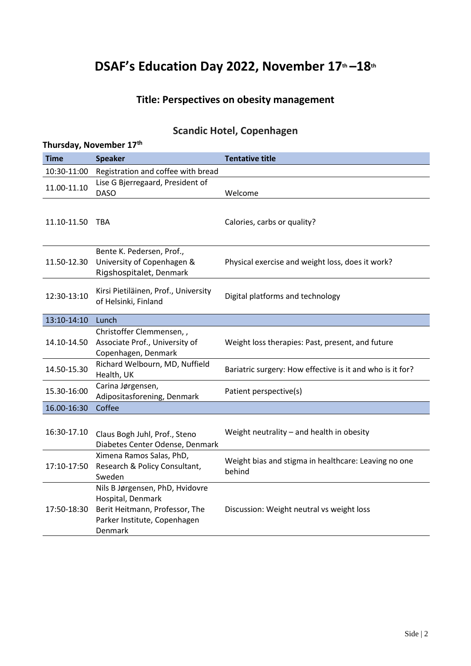# **DSAF's Education Day 2022, November 17th –18th**

### **Title: Perspectives on obesity management**

### **Scandic Hotel, Copenhagen**

| Thursday, November 17 <sup>th</sup> |                                                                                                                                   |                                                                |  |  |  |
|-------------------------------------|-----------------------------------------------------------------------------------------------------------------------------------|----------------------------------------------------------------|--|--|--|
| <b>Time</b>                         | <b>Speaker</b>                                                                                                                    | <b>Tentative title</b>                                         |  |  |  |
| 10:30-11:00                         | Registration and coffee with bread                                                                                                |                                                                |  |  |  |
| 11.00-11.10                         | Lise G Bjerregaard, President of<br><b>DASO</b>                                                                                   | Welcome                                                        |  |  |  |
| 11.10-11.50                         | TBA                                                                                                                               | Calories, carbs or quality?                                    |  |  |  |
| 11.50-12.30                         | Bente K. Pedersen, Prof.,<br>University of Copenhagen &<br>Rigshospitalet, Denmark                                                | Physical exercise and weight loss, does it work?               |  |  |  |
| 12:30-13:10                         | Kirsi Pietiläinen, Prof., University<br>of Helsinki, Finland                                                                      | Digital platforms and technology                               |  |  |  |
| 13:10-14:10                         | Lunch                                                                                                                             |                                                                |  |  |  |
| 14.10-14.50                         | Christoffer Clemmensen,,<br>Associate Prof., University of<br>Copenhagen, Denmark                                                 | Weight loss therapies: Past, present, and future               |  |  |  |
| 14.50-15.30                         | Richard Welbourn, MD, Nuffield<br>Health, UK                                                                                      | Bariatric surgery: How effective is it and who is it for?      |  |  |  |
| 15.30-16:00                         | Carina Jørgensen,<br>Adipositasforening, Denmark                                                                                  | Patient perspective(s)                                         |  |  |  |
| 16.00-16:30                         | Coffee                                                                                                                            |                                                                |  |  |  |
| 16:30-17.10                         | Claus Bogh Juhl, Prof., Steno<br>Diabetes Center Odense, Denmark                                                                  | Weight neutrality - and health in obesity                      |  |  |  |
| 17:10-17:50                         | Ximena Ramos Salas, PhD,<br>Research & Policy Consultant,<br>Sweden                                                               | Weight bias and stigma in healthcare: Leaving no one<br>behind |  |  |  |
| 17:50-18:30                         | Nils B Jørgensen, PhD, Hvidovre<br>Hospital, Denmark<br>Berit Heitmann, Professor, The<br>Parker Institute, Copenhagen<br>Denmark | Discussion: Weight neutral vs weight loss                      |  |  |  |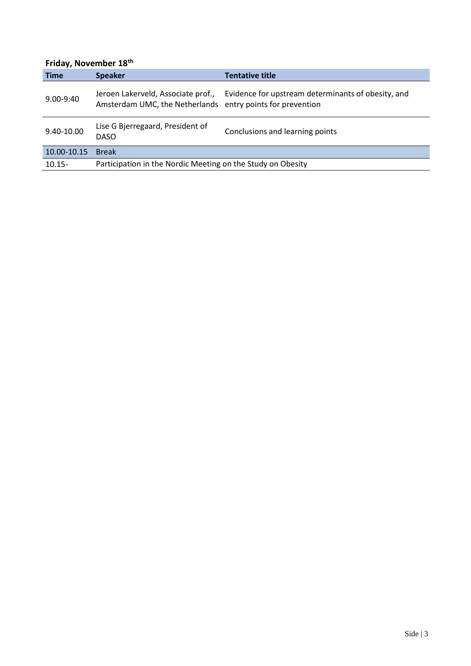### **Friday, November 18th**

| <b>Time</b>   | <b>Speaker</b>                                                                                   | <b>Tentative title</b>                             |  |
|---------------|--------------------------------------------------------------------------------------------------|----------------------------------------------------|--|
| $9.00 - 9:40$ | Jeroen Lakerveld, Associate prof.,<br>Amsterdam UMC, the Netherlands entry points for prevention | Evidence for upstream determinants of obesity, and |  |
| 9.40-10.00    | Lise G Bjerregaard, President of<br><b>DASO</b>                                                  | Conclusions and learning points                    |  |
| 10.00-10.15   | <b>Break</b>                                                                                     |                                                    |  |
| $10.15 -$     | Participation in the Nordic Meeting on the Study on Obesity                                      |                                                    |  |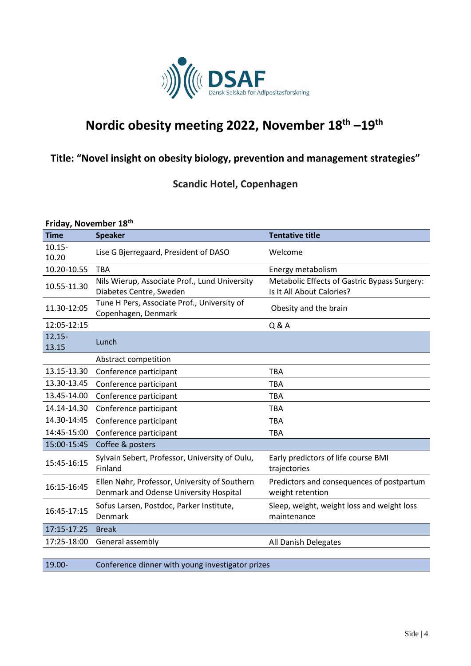

# **Nordic obesity meeting 2022, November 18th –19th**

### **Title: "Novel insight on obesity biology, prevention and management strategies"**

**Scandic Hotel, Copenhagen**

#### **Friday, November 18th**

| <b>Time</b>        | <b>Speaker</b>                                                                          | <b>Tentative title</b>                                                    |
|--------------------|-----------------------------------------------------------------------------------------|---------------------------------------------------------------------------|
| $10.15 -$<br>10.20 | Lise G Bjerregaard, President of DASO                                                   | Welcome                                                                   |
| 10.20-10.55        | <b>TBA</b>                                                                              | Energy metabolism                                                         |
| 10.55-11.30        | Nils Wierup, Associate Prof., Lund University<br>Diabetes Centre, Sweden                | Metabolic Effects of Gastric Bypass Surgery:<br>Is It All About Calories? |
| 11.30-12:05        | Tune H Pers, Associate Prof., University of<br>Copenhagen, Denmark                      | Obesity and the brain                                                     |
| 12:05-12:15        |                                                                                         | Q & A                                                                     |
| $12.15 -$<br>13.15 | Lunch                                                                                   |                                                                           |
|                    | Abstract competition                                                                    |                                                                           |
| 13.15-13.30        | Conference participant                                                                  | <b>TBA</b>                                                                |
| 13.30-13.45        | Conference participant                                                                  | <b>TBA</b>                                                                |
| 13.45-14.00        | Conference participant                                                                  | <b>TBA</b>                                                                |
| 14.14-14.30        | Conference participant                                                                  | <b>TBA</b>                                                                |
| 14.30-14:45        | Conference participant                                                                  | <b>TBA</b>                                                                |
| 14:45-15:00        | Conference participant                                                                  | <b>TBA</b>                                                                |
| 15:00-15:45        | Coffee & posters                                                                        |                                                                           |
| 15:45-16:15        | Sylvain Sebert, Professor, University of Oulu,<br>Finland                               | Early predictors of life course BMI<br>trajectories                       |
| 16:15-16:45        | Ellen Nøhr, Professor, University of Southern<br>Denmark and Odense University Hospital | Predictors and consequences of postpartum<br>weight retention             |
| 16:45-17:15        | Sofus Larsen, Postdoc, Parker Institute,<br>Denmark                                     | Sleep, weight, weight loss and weight loss<br>maintenance                 |
| 17:15-17.25        | <b>Break</b>                                                                            |                                                                           |
| 17:25-18:00        | General assembly                                                                        | All Danish Delegates                                                      |
|                    |                                                                                         |                                                                           |

19.00- Conference dinner with young investigator prizes